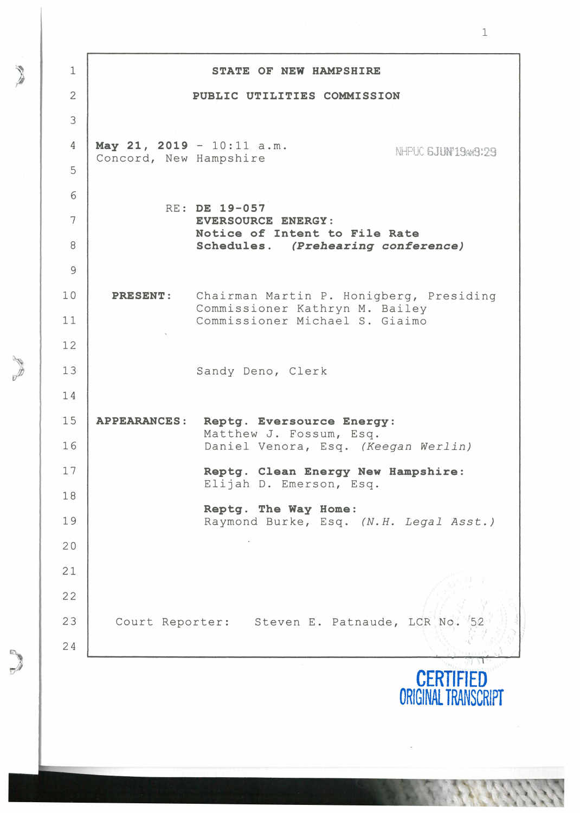| 1  |                             | STATE OF NEW HAMPSHIRE                                              |
|----|-----------------------------|---------------------------------------------------------------------|
| 2  |                             | PUBLIC UTILITIES COMMISSION                                         |
| 3  |                             |                                                                     |
| 4  | May 21, 2019 - $10:11$ a.m. | NHPUC 6JUN'19AA9:29                                                 |
| 5  | Concord, New Hampshire      |                                                                     |
| 6  |                             |                                                                     |
| 7  | RE: DE 19-057               | EVERSOURCE ENERGY:                                                  |
| 8  |                             | Notice of Intent to File Rate<br>Schedules. (Prehearing conference) |
| 9  |                             |                                                                     |
| 10 | <b>PRESENT:</b>             | Chairman Martin P. Honigberg, Presiding                             |
| 11 |                             | Commissioner Kathryn M. Bailey<br>Commissioner Michael S. Giaimo    |
| 12 |                             |                                                                     |
| 13 |                             | Sandy Deno, Clerk                                                   |
| 14 |                             |                                                                     |
| 15 | <b>APPEARANCES:</b>         | Reptg. Eversource Energy:                                           |
| 16 |                             | Matthew J. Fossum, Esq.<br>Daniel Venora, Esq. (Keegan Werlin)      |
| 17 |                             | Reptg. Clean Energy New Hampshire:                                  |
| 18 |                             | Elijah D. Emerson, Esq.                                             |
| 19 |                             | Reptg. The Way Home:<br>Raymond Burke, Esq. (N.H. Legal Asst.)      |
| 20 |                             |                                                                     |
| 21 |                             |                                                                     |
| 22 |                             |                                                                     |
| 23 |                             | Court Reporter: Steven E. Patnaude, LCR No.                         |
| 24 |                             |                                                                     |
|    |                             | <b>CERTIFIED</b><br><b>ORIGINAL TRANS</b>                           |

1

)

 $\sum_{i=1}^{n}$ 

) *r*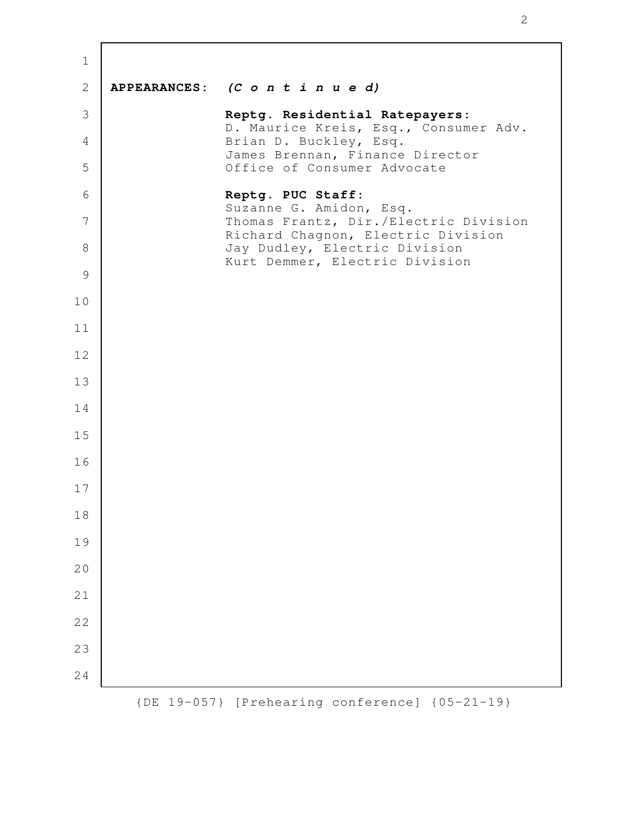| $\mathbf 1$    |              |                                                                             |
|----------------|--------------|-----------------------------------------------------------------------------|
| $\sqrt{2}$     |              | APPEARANCES: (C o n t i n u e d)                                            |
| $\mathfrak{Z}$ |              | Reptg. Residential Ratepayers:<br>D. Maurice Kreis, Esq., Consumer Adv.     |
| $\overline{4}$ |              | Brian D. Buckley, Esq.<br>James Brennan, Finance Director                   |
| 5              |              | Office of Consumer Advocate                                                 |
| 6              |              | Reptg. PUC Staff:<br>Suzanne G. Amidon, Esq.                                |
| 7              |              | Thomas Frantz, Dir./Electric Division<br>Richard Chagnon, Electric Division |
| 8              |              | Jay Dudley, Electric Division<br>Kurt Demmer, Electric Division             |
| $\mathcal{G}$  |              |                                                                             |
| 10             |              |                                                                             |
| 11             |              |                                                                             |
| 12             |              |                                                                             |
| 13             |              |                                                                             |
| 14             |              |                                                                             |
| 15             |              |                                                                             |
| 16             |              |                                                                             |
| 17             |              |                                                                             |
| 18             |              |                                                                             |
| 19             |              |                                                                             |
| 20             |              |                                                                             |
| 21             |              |                                                                             |
| 22             |              |                                                                             |
| 23             |              |                                                                             |
| 24             |              |                                                                             |
|                | $\left\{$ DE | 19-057} [Prehearing conference] {05-21-19}                                  |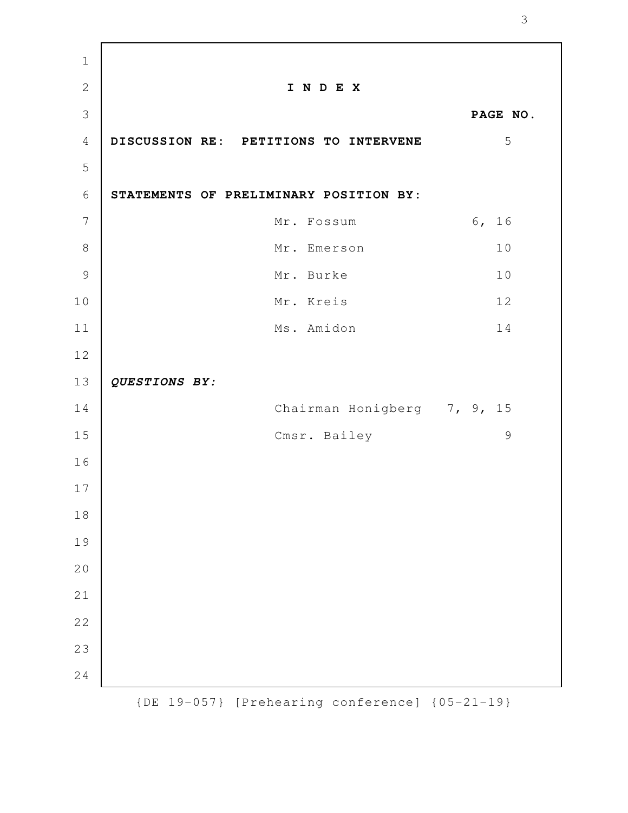| $\mathbf{2}$<br>I N D E X<br>3<br>PAGE NO.<br>5<br>$\sqrt{4}$<br>DISCUSSION RE: PETITIONS TO INTERVENE<br>5<br>6<br>STATEMENTS OF PRELIMINARY POSITION BY:<br>$\overline{7}$<br>6, 16<br>Mr. Fossum<br>8<br>10<br>Mr. Emerson<br>$\mathcal{G}$<br>10<br>Mr. Burke<br>10<br>12<br>Mr. Kreis<br>14<br>11<br>Ms. Amidon<br>12<br>13<br>QUESTIONS BY:<br>Chairman Honigberg 7, 9, 15<br>14<br>$\mathcal{G}$<br>15<br>Cmsr. Bailey<br>16 |  |
|-------------------------------------------------------------------------------------------------------------------------------------------------------------------------------------------------------------------------------------------------------------------------------------------------------------------------------------------------------------------------------------------------------------------------------------|--|
|                                                                                                                                                                                                                                                                                                                                                                                                                                     |  |
|                                                                                                                                                                                                                                                                                                                                                                                                                                     |  |
|                                                                                                                                                                                                                                                                                                                                                                                                                                     |  |
|                                                                                                                                                                                                                                                                                                                                                                                                                                     |  |
|                                                                                                                                                                                                                                                                                                                                                                                                                                     |  |
|                                                                                                                                                                                                                                                                                                                                                                                                                                     |  |
|                                                                                                                                                                                                                                                                                                                                                                                                                                     |  |
|                                                                                                                                                                                                                                                                                                                                                                                                                                     |  |
|                                                                                                                                                                                                                                                                                                                                                                                                                                     |  |
|                                                                                                                                                                                                                                                                                                                                                                                                                                     |  |
|                                                                                                                                                                                                                                                                                                                                                                                                                                     |  |
|                                                                                                                                                                                                                                                                                                                                                                                                                                     |  |
|                                                                                                                                                                                                                                                                                                                                                                                                                                     |  |
|                                                                                                                                                                                                                                                                                                                                                                                                                                     |  |
|                                                                                                                                                                                                                                                                                                                                                                                                                                     |  |
| 17                                                                                                                                                                                                                                                                                                                                                                                                                                  |  |
| 18                                                                                                                                                                                                                                                                                                                                                                                                                                  |  |
| 19                                                                                                                                                                                                                                                                                                                                                                                                                                  |  |
| 20                                                                                                                                                                                                                                                                                                                                                                                                                                  |  |
| 21                                                                                                                                                                                                                                                                                                                                                                                                                                  |  |
| 22                                                                                                                                                                                                                                                                                                                                                                                                                                  |  |
| 23                                                                                                                                                                                                                                                                                                                                                                                                                                  |  |
| 24                                                                                                                                                                                                                                                                                                                                                                                                                                  |  |

Г

{DE 19-057} [Prehearing conference] {05-21-19}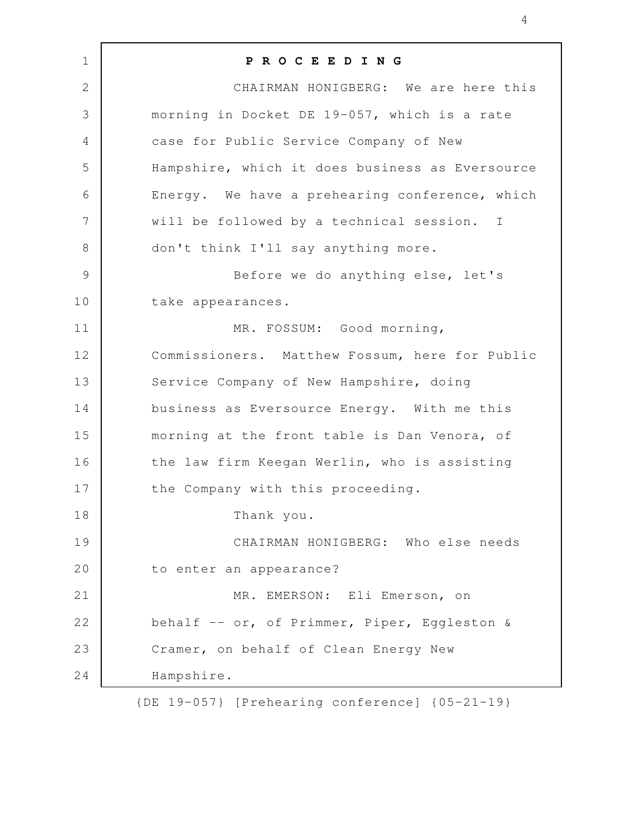| $\mathbf 1$    | PROCEEDING                                      |
|----------------|-------------------------------------------------|
| $\overline{2}$ | CHAIRMAN HONIGBERG: We are here this            |
| 3              | morning in Docket DE 19-057, which is a rate    |
| $\overline{4}$ | case for Public Service Company of New          |
| 5              | Hampshire, which it does business as Eversource |
| 6              | Energy. We have a prehearing conference, which  |
| 7              | will be followed by a technical session. I      |
| $8\,$          | don't think I'll say anything more.             |
| $\mathcal{G}$  | Before we do anything else, let's               |
| 10             | take appearances.                               |
| 11             | MR. FOSSUM: Good morning,                       |
| 12             | Commissioners. Matthew Fossum, here for Public  |
| 13             | Service Company of New Hampshire, doing         |
| 14             | business as Eversource Energy. With me this     |
| 15             | morning at the front table is Dan Venora, of    |
| 16             | the law firm Keegan Werlin, who is assisting    |
| 17             | the Company with this proceeding.               |
| 18             | Thank you.                                      |
| 19             | CHAIRMAN HONIGBERG: Who else needs              |
| 20             | to enter an appearance?                         |
| 21             | MR. EMERSON: Eli Emerson, on                    |
| 22             | behalf -- or, of Primmer, Piper, Eggleston &    |
| 23             | Cramer, on behalf of Clean Energy New           |
| 24             | Hampshire.                                      |

{DE 19-057} [Prehearing conference] {05-21-19}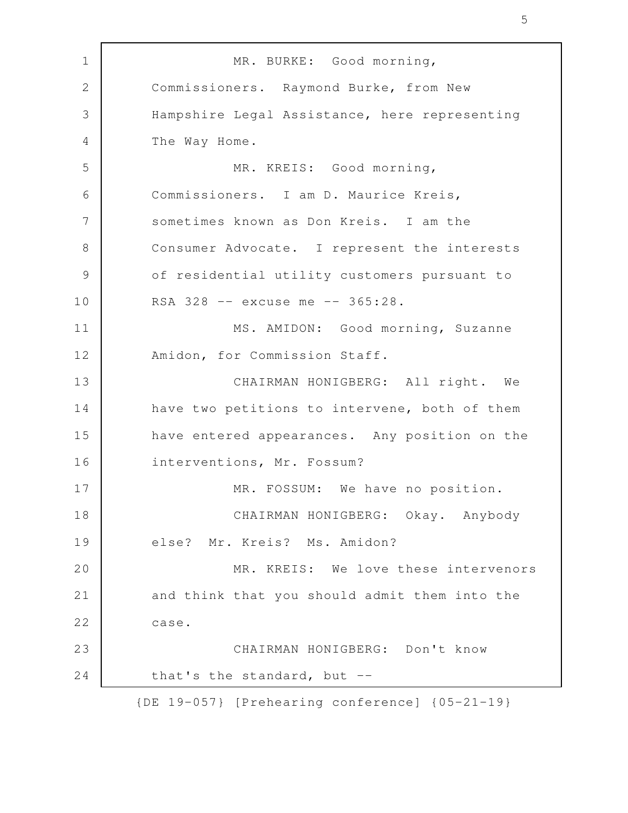MR. BURKE: Good morning, Commissioners. Raymond Burke, from New Hampshire Legal Assistance, here representing The Way Home. MR. KREIS: Good morning, Commissioners. I am D. Maurice Kreis, sometimes known as Don Kreis. I am the Consumer Advocate. I represent the interests of residential utility customers pursuant to RSA 328 -- excuse me -- 365:28. MS. AMIDON: Good morning, Suzanne Amidon, for Commission Staff. CHAIRMAN HONIGBERG: All right. We have two petitions to intervene, both of them have entered appearances. Any position on the interventions, Mr. Fossum? MR. FOSSUM: We have no position. CHAIRMAN HONIGBERG: Okay. Anybody else? Mr. Kreis? Ms. Amidon? MR. KREIS: We love these intervenors and think that you should admit them into the case. CHAIRMAN HONIGBERG: Don't know that's the standard, but -- {DE 19-057} [Prehearing conference] {05-21-19} 1 2 3 4 5 6 7 8 9 10 11 12 13 14 15 16 17 18 19 20 21 22 23 24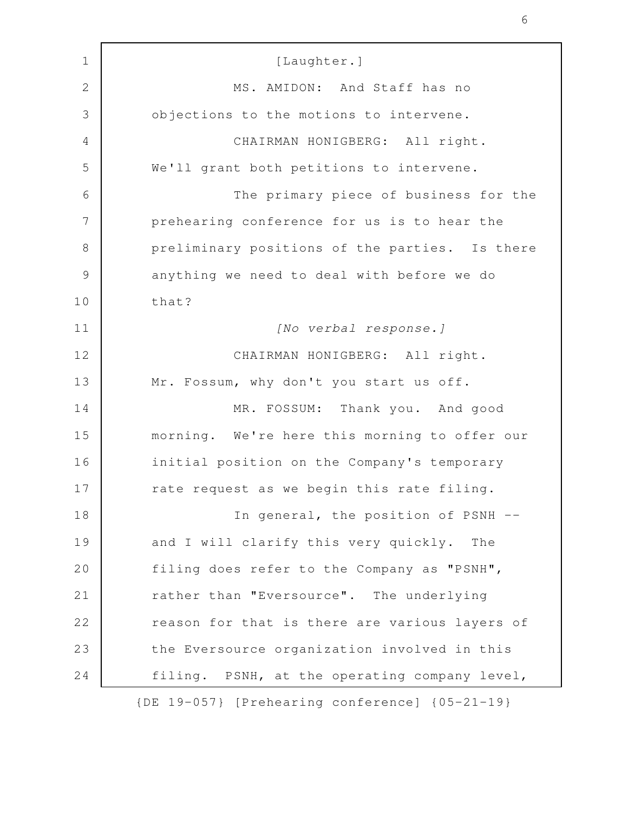| $\mathbf 1$   | [Laughter.]                                    |
|---------------|------------------------------------------------|
| $\mathbf{2}$  | MS. AMIDON: And Staff has no                   |
| 3             | objections to the motions to intervene.        |
| 4             | CHAIRMAN HONIGBERG: All right.                 |
| 5             | We'll grant both petitions to intervene.       |
| 6             | The primary piece of business for the          |
| 7             | prehearing conference for us is to hear the    |
| $\,8\,$       | preliminary positions of the parties. Is there |
| $\mathcal{G}$ | anything we need to deal with before we do     |
| 10            | that?                                          |
| 11            | [No verbal response.]                          |
| 12            | CHAIRMAN HONIGBERG: All right.                 |
| 13            | Mr. Fossum, why don't you start us off.        |
| 14            | MR. FOSSUM: Thank you. And good                |
| 15            | morning. We're here this morning to offer our  |
| 16            | initial position on the Company's temporary    |
| 17            | rate request as we begin this rate filing.     |
| 18            | In general, the position of PSNH --            |
| 19            | and I will clarify this very quickly.<br>The   |
| 20            | filing does refer to the Company as "PSNH",    |
| 21            | rather than "Eversource". The underlying       |
| 22            | reason for that is there are various layers of |
| 23            | the Eversource organization involved in this   |
| 24            | filing. PSNH, at the operating company level,  |
|               | {DE 19-057} [Prehearing conference] {05-21-19} |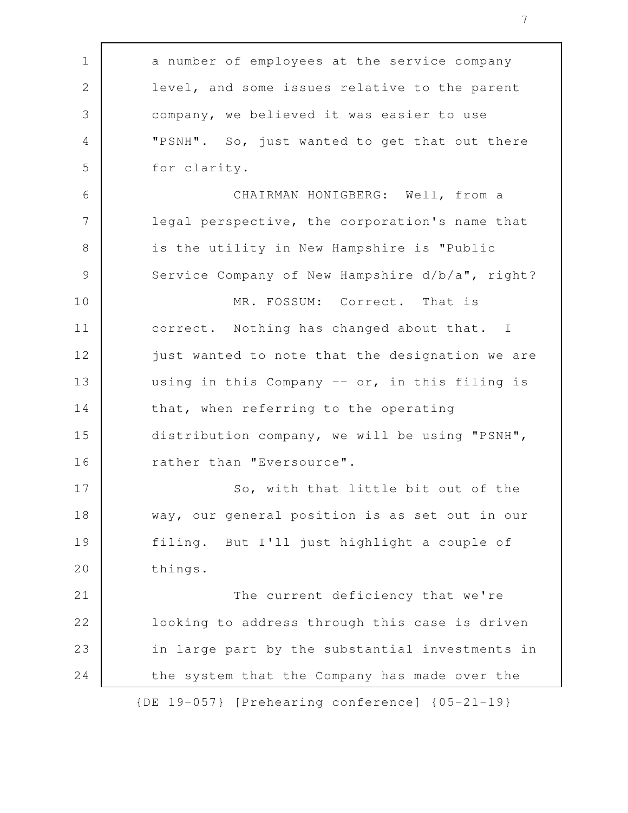| $\mathbf 1$    | a number of employees at the service company       |
|----------------|----------------------------------------------------|
| $\mathbf{2}$   | level, and some issues relative to the parent      |
| 3              | company, we believed it was easier to use          |
| $\overline{4}$ | "PSNH". So, just wanted to get that out there      |
| 5              | for clarity.                                       |
| 6              | CHAIRMAN HONIGBERG: Well, from a                   |
| 7              | legal perspective, the corporation's name that     |
| $8\,$          | is the utility in New Hampshire is "Public         |
| $\mathcal{G}$  | Service Company of New Hampshire d/b/a", right?    |
| 10             | MR. FOSSUM: Correct. That is                       |
| 11             | correct. Nothing has changed about that. I         |
| 12             | just wanted to note that the designation we are    |
| 13             | using in this Company -- or, in this filing is     |
| 14             | that, when referring to the operating              |
| 15             | distribution company, we will be using "PSNH",     |
| 16             | rather than "Eversource".                          |
| 17             | So, with that little bit out of the                |
| 18             | way, our general position is as set out in our     |
| 19             | filing. But I'll just highlight a couple of        |
| 20             | things.                                            |
| 21             | The current deficiency that we're                  |
| 22             | looking to address through this case is driven     |
| 23             | in large part by the substantial investments in    |
| 24             | the system that the Company has made over the      |
|                | $[DE 19-057]$ [Prehearing conference] ${05-21-19}$ |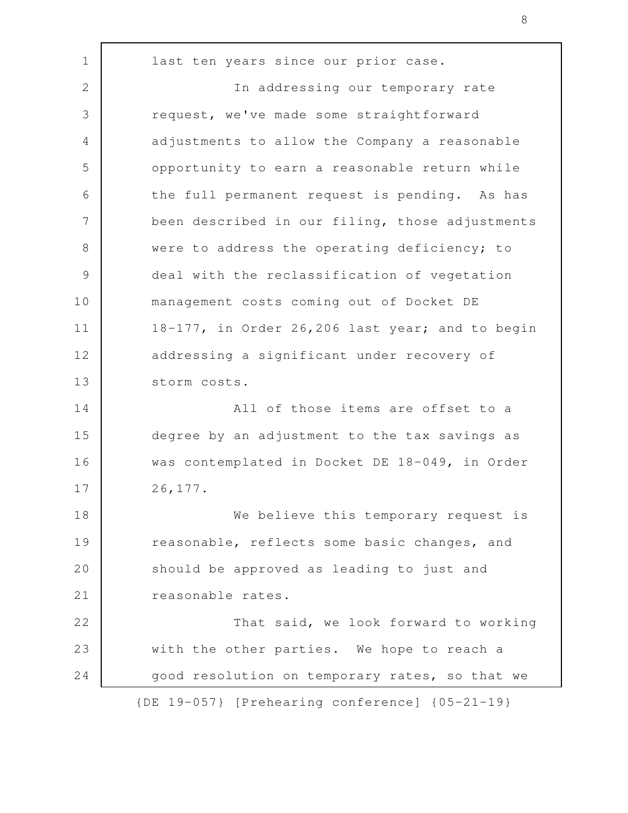last ten years since our prior case. In addressing our temporary rate request, we've made some straightforward adjustments to allow the Company a reasonable opportunity to earn a reasonable return while the full permanent request is pending. As has been described in our filing, those adjustments were to address the operating deficiency; to deal with the reclassification of vegetation management costs coming out of Docket DE 18-177, in Order 26,206 last year; and to begin addressing a significant under recovery of storm costs. All of those items are offset to a degree by an adjustment to the tax savings as was contemplated in Docket DE 18-049, in Order 26,177. We believe this temporary request is reasonable, reflects some basic changes, and should be approved as leading to just and reasonable rates. That said, we look forward to working with the other parties. We hope to reach a good resolution on temporary rates, so that we {DE 19-057} [Prehearing conference] {05-21-19} 1 2 3 4 5 6 7 8 9 10 11 12 13 14 15 16 17 18 19 20 21 22 23 24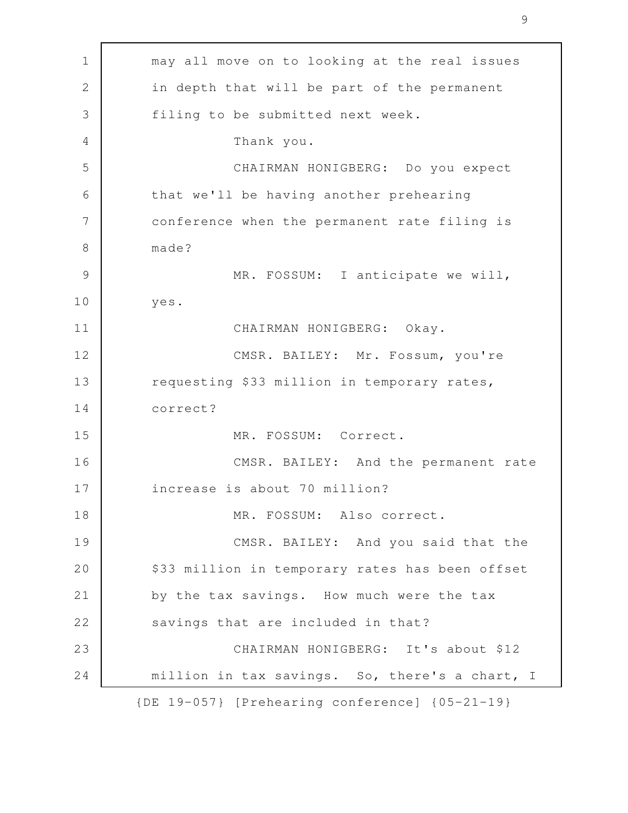may all move on to looking at the real issues in depth that will be part of the permanent filing to be submitted next week. Thank you. CHAIRMAN HONIGBERG: Do you expect that we'll be having another prehearing conference when the permanent rate filing is made? MR. FOSSUM: I anticipate we will, yes. CHAIRMAN HONIGBERG: Okay. CMSR. BAILEY: Mr. Fossum, you're requesting \$33 million in temporary rates, correct? MR. FOSSUM: Correct. CMSR. BAILEY: And the permanent rate increase is about 70 million? MR. FOSSUM: Also correct. CMSR. BAILEY: And you said that the \$33 million in temporary rates has been offset by the tax savings. How much were the tax savings that are included in that? CHAIRMAN HONIGBERG: It's about \$12 million in tax savings. So, there's a chart, I {DE 19-057} [Prehearing conference] {05-21-19} 1 2 3 4 5 6 7 8 9 10 11 12 13 14 15 16 17 18 19 20 21 22 23 24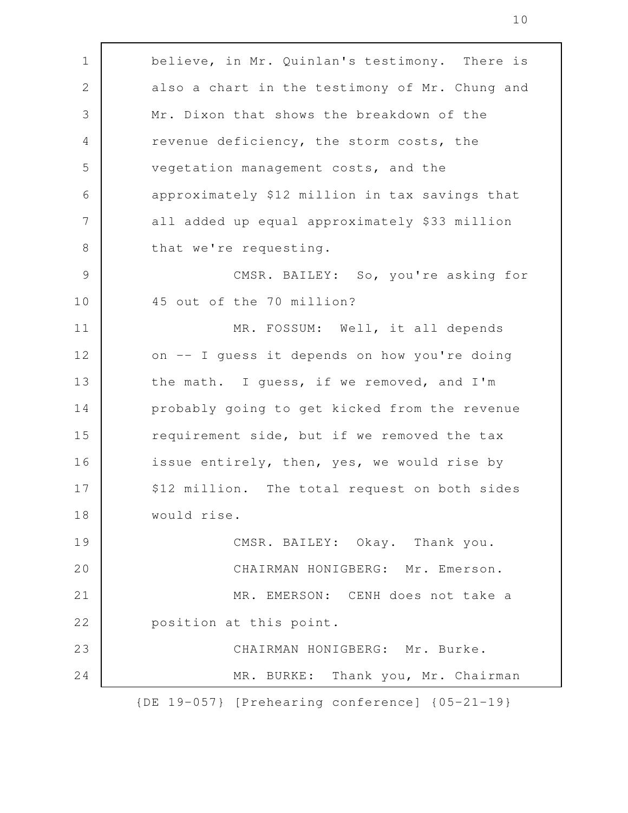believe, in Mr. Quinlan's testimony. There is also a chart in the testimony of Mr. Chung and Mr. Dixon that shows the breakdown of the revenue deficiency, the storm costs, the vegetation management costs, and the approximately \$12 million in tax savings that all added up equal approximately \$33 million that we're requesting. CMSR. BAILEY: So, you're asking for 45 out of the 70 million? MR. FOSSUM: Well, it all depends on -- I guess it depends on how you're doing the math. I guess, if we removed, and I'm probably going to get kicked from the revenue requirement side, but if we removed the tax issue entirely, then, yes, we would rise by \$12 million. The total request on both sides would rise. CMSR. BAILEY: Okay. Thank you. CHAIRMAN HONIGBERG: Mr. Emerson. MR. EMERSON: CENH does not take a position at this point. CHAIRMAN HONIGBERG: Mr. Burke. MR. BURKE: Thank you, Mr. Chairman {DE 19-057} [Prehearing conference] {05-21-19} 1 2 3 4 5 6 7 8 9 10 11 12 13 14 15 16 17 18 19 20 21 22 23 24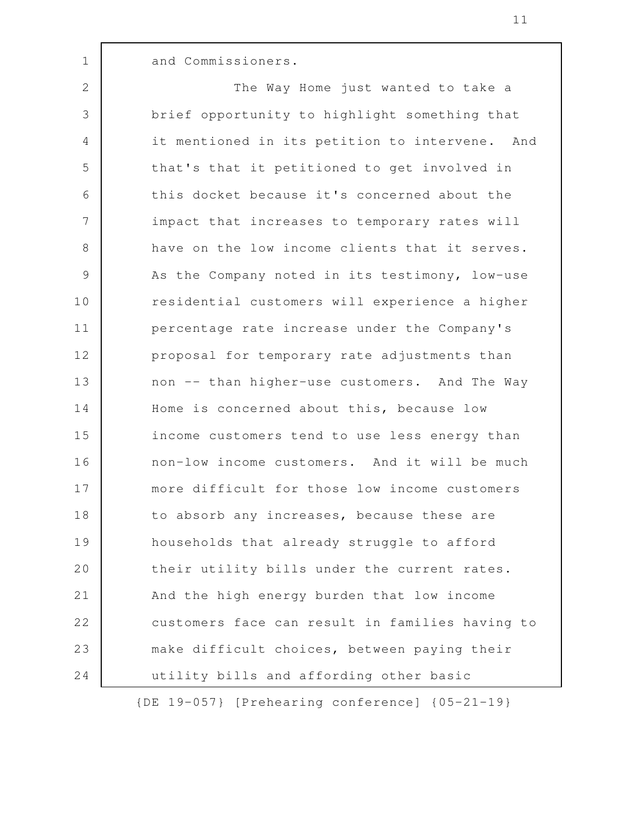and Commissioners.

1

The Way Home just wanted to take a brief opportunity to highlight something that it mentioned in its petition to intervene. And that's that it petitioned to get involved in this docket because it's concerned about the impact that increases to temporary rates will have on the low income clients that it serves. As the Company noted in its testimony, low-use residential customers will experience a higher percentage rate increase under the Company's proposal for temporary rate adjustments than non -- than higher-use customers. And The Way Home is concerned about this, because low income customers tend to use less energy than non-low income customers. And it will be much more difficult for those low income customers to absorb any increases, because these are households that already struggle to afford their utility bills under the current rates. And the high energy burden that low income customers face can result in families having to make difficult choices, between paying their utility bills and affording other basic 2 3 4 5 6 7 8 9 10 11 12 13 14 15 16 17 18 19 20 21 22 23 24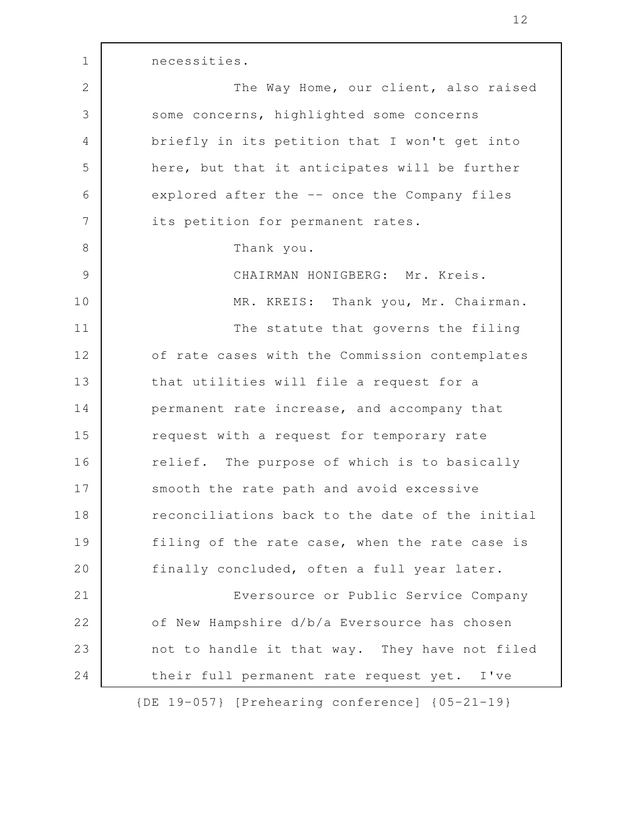necessities. The Way Home, our client, also raised some concerns, highlighted some concerns briefly in its petition that I won't get into here, but that it anticipates will be further explored after the -- once the Company files its petition for permanent rates. Thank you. CHAIRMAN HONIGBERG: Mr. Kreis. MR. KREIS: Thank you, Mr. Chairman. The statute that governs the filing of rate cases with the Commission contemplates that utilities will file a request for a permanent rate increase, and accompany that request with a request for temporary rate relief. The purpose of which is to basically smooth the rate path and avoid excessive reconciliations back to the date of the initial filing of the rate case, when the rate case is finally concluded, often a full year later. Eversource or Public Service Company of New Hampshire d/b/a Eversource has chosen not to handle it that way. They have not filed their full permanent rate request yet. I've 1 2 3 4 5 6 7 8 9 10 11 12 13 14 15 16 17 18 19 20 21 22 23 24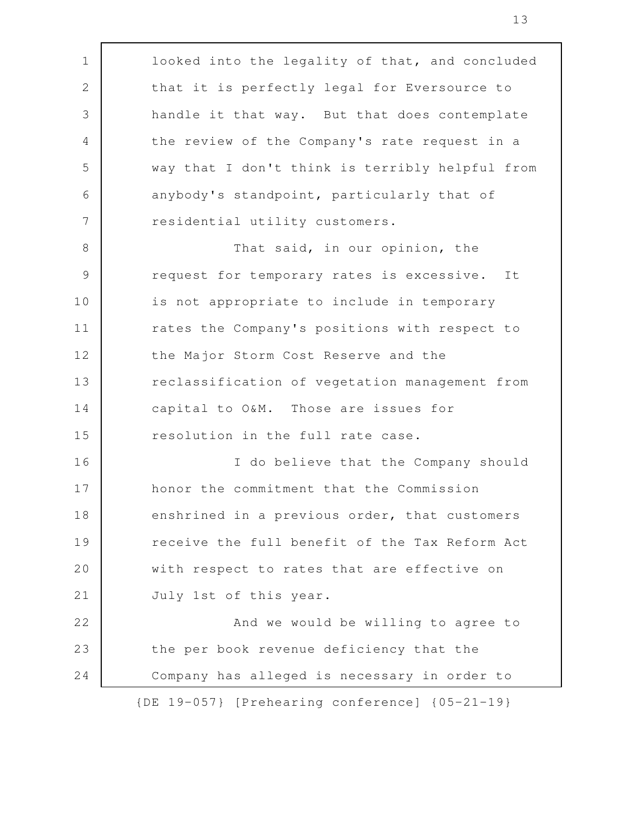| $\mathbf 1$   | looked into the legality of that, and concluded |
|---------------|-------------------------------------------------|
| $\mathbf{2}$  | that it is perfectly legal for Eversource to    |
| 3             | handle it that way. But that does contemplate   |
| 4             | the review of the Company's rate request in a   |
| 5             | way that I don't think is terribly helpful from |
| 6             | anybody's standpoint, particularly that of      |
| 7             | residential utility customers.                  |
| $8\,$         | That said, in our opinion, the                  |
| $\mathcal{G}$ | request for temporary rates is excessive. It    |
| 10            | is not appropriate to include in temporary      |
| 11            | rates the Company's positions with respect to   |
| 12            | the Major Storm Cost Reserve and the            |
| 13            | reclassification of vegetation management from  |
| 14            | capital to O&M. Those are issues for            |
| 15            | resolution in the full rate case.               |
| 16            | I do believe that the Company should            |
| 17            | honor the commitment that the Commission        |
| 18            | enshrined in a previous order, that customers   |
| 19            | receive the full benefit of the Tax Reform Act  |
| 20            | with respect to rates that are effective on     |
| 21            | July 1st of this year.                          |
| 22            | And we would be willing to agree to             |
| 23            | the per book revenue deficiency that the        |
| 24            | Company has alleged is necessary in order to    |
|               | {DE 19-057} [Prehearing conference] {05-21-19}  |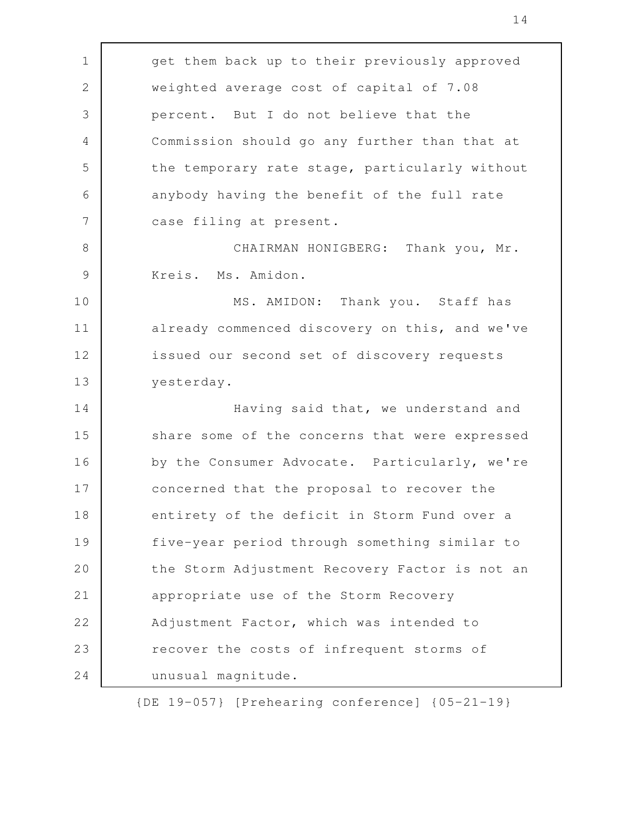get them back up to their previously approved weighted average cost of capital of 7.08 percent. But I do not believe that the Commission should go any further than that at the temporary rate stage, particularly without anybody having the benefit of the full rate case filing at present. CHAIRMAN HONIGBERG: Thank you, Mr. Kreis. Ms. Amidon. MS. AMIDON: Thank you. Staff has already commenced discovery on this, and we've issued our second set of discovery requests yesterday. Having said that, we understand and share some of the concerns that were expressed by the Consumer Advocate. Particularly, we're concerned that the proposal to recover the entirety of the deficit in Storm Fund over a five-year period through something similar to the Storm Adjustment Recovery Factor is not an appropriate use of the Storm Recovery Adjustment Factor, which was intended to recover the costs of infrequent storms of unusual magnitude. 1 2 3 4 5 6 7 8 9 10 11 12 13 14 15 16 17 18 19 20 21 22 23 24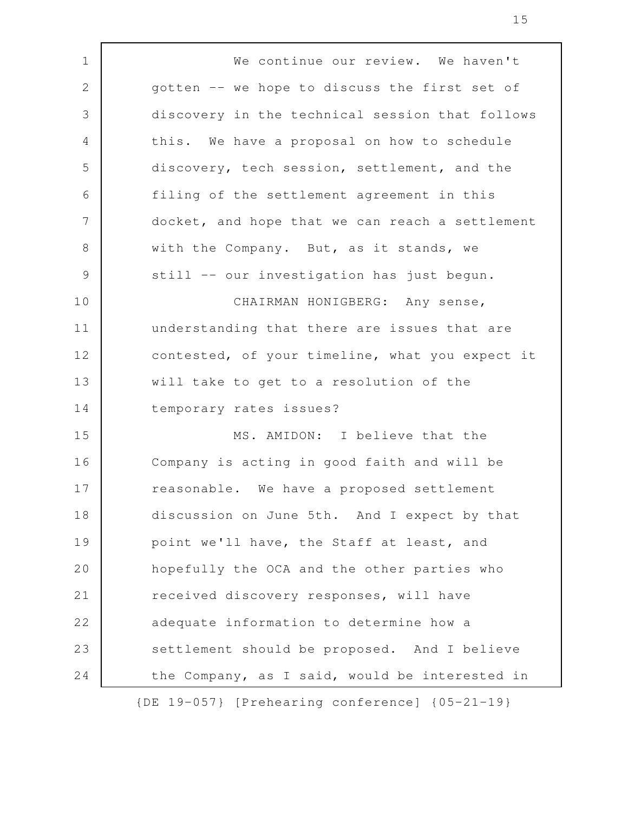We continue our review. We haven't gotten -- we hope to discuss the first set of discovery in the technical session that follows this. We have a proposal on how to schedule discovery, tech session, settlement, and the filing of the settlement agreement in this docket, and hope that we can reach a settlement with the Company. But, as it stands, we still -- our investigation has just begun. CHAIRMAN HONIGBERG: Any sense, understanding that there are issues that are contested, of your timeline, what you expect it will take to get to a resolution of the temporary rates issues? MS. AMIDON: I believe that the Company is acting in good faith and will be reasonable. We have a proposed settlement discussion on June 5th. And I expect by that point we'll have, the Staff at least, and hopefully the OCA and the other parties who received discovery responses, will have adequate information to determine how a settlement should be proposed. And I believe the Company, as I said, would be interested in 1 2 3 4 5 6 7 8 9 10 11 12 13 14 15 16 17 18 19 20 21 22 23 24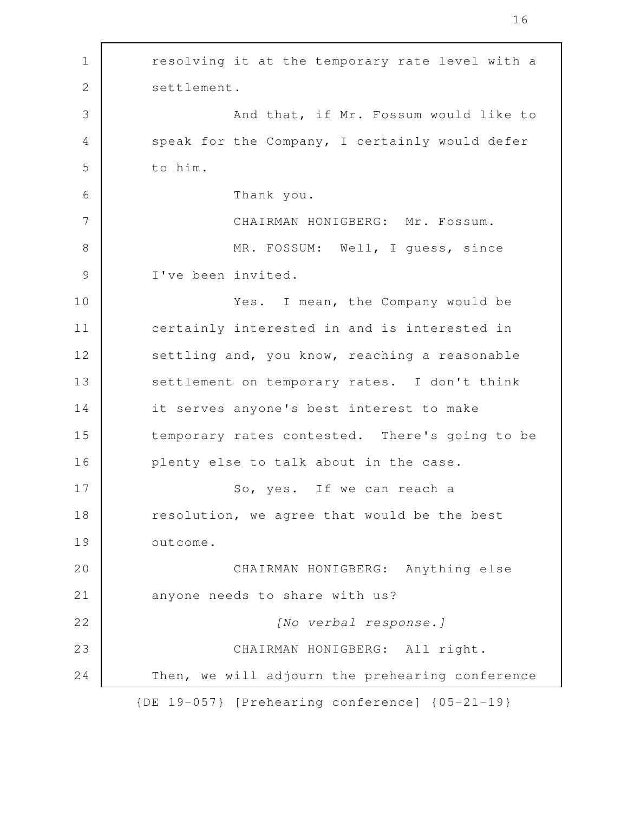resolving it at the temporary rate level with a settlement. And that, if Mr. Fossum would like to speak for the Company, I certainly would defer to him. Thank you. CHAIRMAN HONIGBERG: Mr. Fossum. MR. FOSSUM: Well, I guess, since I've been invited. Yes. I mean, the Company would be certainly interested in and is interested in settling and, you know, reaching a reasonable settlement on temporary rates. I don't think it serves anyone's best interest to make temporary rates contested. There's going to be plenty else to talk about in the case. So, yes. If we can reach a resolution, we agree that would be the best outcome. CHAIRMAN HONIGBERG: Anything else anyone needs to share with us? [No verbal response.] CHAIRMAN HONIGBERG: All right. Then, we will adjourn the prehearing conference {DE 19-057} [Prehearing conference] {05-21-19} 1 2 3 4 5 6 7 8 9 10 11 12 13 14 15 16 17 18 19 20 21 22 23 24